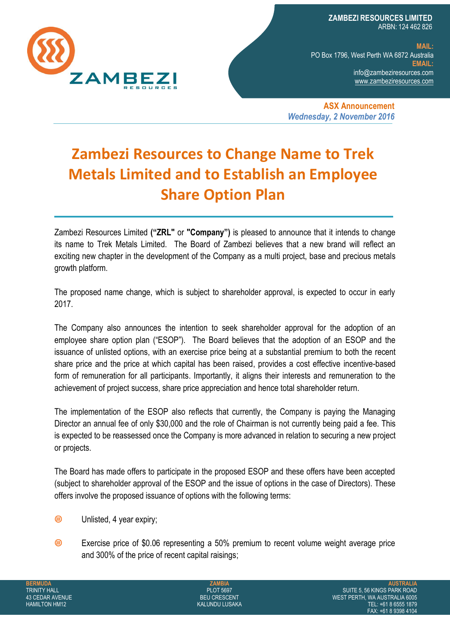

**ZAMBEZI RESOURCES LIMITED**  ARBN: 124 462 826

**MAIL:** PO Box 1796, West Perth WA 6872 Australia **EMAIL:** [info@zambeziresources.com](mailto:INFO@ZAMBEZIRESOURCES.COM) [www.zambeziresources.com](http://www.zambeziresources.com/)

**ASX Announcement** *Wednesday, 2 November 2016*

## **Zambezi Resources to Change Name to Trek Metals Limited and to Establish an Employee Share Option Plan**

Zambezi Resources Limited **("ZRL"** or **"Company")** is pleased to announce that it intends to change its name to Trek Metals Limited. The Board of Zambezi believes that a new brand will reflect an exciting new chapter in the development of the Company as a multi project, base and precious metals growth platform.

The proposed name change, which is subject to shareholder approval, is expected to occur in early 2017.

The Company also announces the intention to seek shareholder approval for the adoption of an employee share option plan ("ESOP"). The Board believes that the adoption of an ESOP and the issuance of unlisted options, with an exercise price being at a substantial premium to both the recent share price and the price at which capital has been raised, provides a cost effective incentive-based form of remuneration for all participants. Importantly, it aligns their interests and remuneration to the achievement of project success, share price appreciation and hence total shareholder return.

The implementation of the ESOP also reflects that currently, the Company is paying the Managing Director an annual fee of only \$30,000 and the role of Chairman is not currently being paid a fee. This is expected to be reassessed once the Company is more advanced in relation to securing a new project or projects.

The Board has made offers to participate in the proposed ESOP and these offers have been accepted (subject to shareholder approval of the ESOP and the issue of options in the case of Directors). These offers involve the proposed issuance of options with the following terms:

- **®** Unlisted, 4 year expiry;
- ൫ Exercise price of \$0.06 representing a 50% premium to recent volume weight average price and 300% of the price of recent capital raisings;

**ZAMBIA** PLOT 5697 BEU CRESCENT KALUNDU LUSAKA